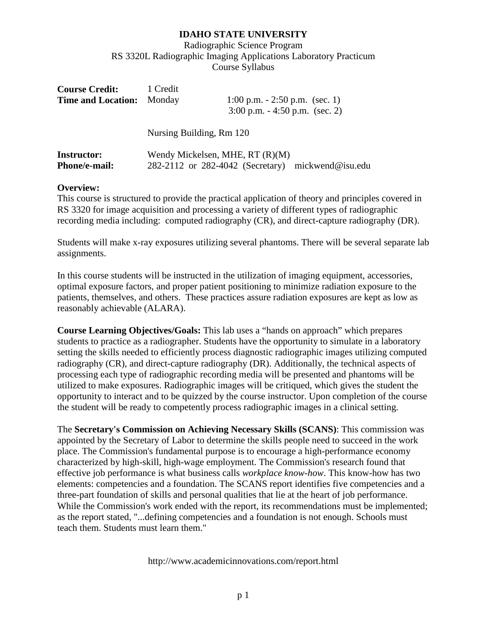Radiographic Science Program RS 3320L Radiographic Imaging Applications Laboratory Practicum Course Syllabus

| <b>Course Credit:</b><br><b>Time and Location:</b> Monday | 1 Credit                 | 1:00 p.m. $-2:50$ p.m. (sec. 1)<br>$3:00$ p.m. $-4:50$ p.m. (sec. 2) |
|-----------------------------------------------------------|--------------------------|----------------------------------------------------------------------|
|                                                           | Nursing Building, Rm 120 |                                                                      |

| <b>Instructor:</b>   | Wendy Mickelsen, MHE, RT (R)(M)                   |  |
|----------------------|---------------------------------------------------|--|
| <b>Phone/e-mail:</b> | 282-2112 or 282-4042 (Secretary) mickwend@isu.edu |  |

#### **Overview:**

This course is structured to provide the practical application of theory and principles covered in RS 3320 for image acquisition and processing a variety of different types of radiographic recording media including: computed radiography (CR), and direct-capture radiography (DR).

Students will make x-ray exposures utilizing several phantoms. There will be several separate lab assignments.

In this course students will be instructed in the utilization of imaging equipment, accessories, optimal exposure factors, and proper patient positioning to minimize radiation exposure to the patients, themselves, and others. These practices assure radiation exposures are kept as low as reasonably achievable (ALARA).

**Course Learning Objectives/Goals:** This lab uses a "hands on approach" which prepares students to practice as a radiographer. Students have the opportunity to simulate in a laboratory setting the skills needed to efficiently process diagnostic radiographic images utilizing computed radiography (CR), and direct-capture radiography (DR). Additionally, the technical aspects of processing each type of radiographic recording media will be presented and phantoms will be utilized to make exposures. Radiographic images will be critiqued, which gives the student the opportunity to interact and to be quizzed by the course instructor. Upon completion of the course the student will be ready to competently process radiographic images in a clinical setting.

The **Secretary's Commission on Achieving Necessary Skills (SCANS)**: This commission was appointed by the Secretary of Labor to determine the skills people need to succeed in the work place. The Commission's fundamental purpose is to encourage a high-performance economy characterized by high-skill, high-wage employment. The Commission's research found that effective job performance is what business calls *workplace know-how*. This know-how has two elements: competencies and a foundation. The SCANS report identifies five competencies and a three-part foundation of skills and personal qualities that lie at the heart of job performance. While the Commission's work ended with the report, its recommendations must be implemented; as the report stated, "...defining competencies and a foundation is not enough. Schools must teach them. Students must learn them."

http://www.academicinnovations.com/report.html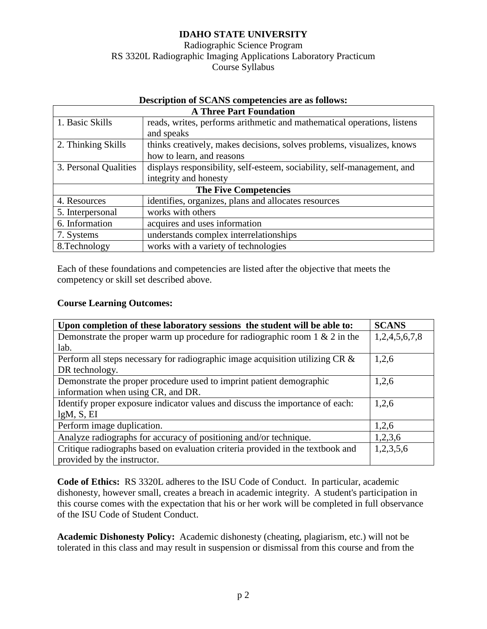Radiographic Science Program RS 3320L Radiographic Imaging Applications Laboratory Practicum Course Syllabus

| Description of SCANS competencies are as follows: |                                                                         |  |  |  |
|---------------------------------------------------|-------------------------------------------------------------------------|--|--|--|
| <b>A Three Part Foundation</b>                    |                                                                         |  |  |  |
| 1. Basic Skills                                   | reads, writes, performs arithmetic and mathematical operations, listens |  |  |  |
|                                                   | and speaks                                                              |  |  |  |
| 2. Thinking Skills                                | thinks creatively, makes decisions, solves problems, visualizes, knows  |  |  |  |
|                                                   | how to learn, and reasons                                               |  |  |  |
| 3. Personal Qualities                             | displays responsibility, self-esteem, sociability, self-management, and |  |  |  |
|                                                   | integrity and honesty                                                   |  |  |  |
| <b>The Five Competencies</b>                      |                                                                         |  |  |  |
| 4. Resources                                      | identifies, organizes, plans and allocates resources                    |  |  |  |
| 5. Interpersonal                                  | works with others                                                       |  |  |  |
| 6. Information                                    | acquires and uses information                                           |  |  |  |
| 7. Systems                                        | understands complex interrelationships                                  |  |  |  |
| 8. Technology                                     | works with a variety of technologies                                    |  |  |  |

# Description of SCANS competencies are as follows:

Each of these foundations and competencies are listed after the objective that meets the competency or skill set described above.

#### **Course Learning Outcomes:**

| Upon completion of these laboratory sessions the student will be able to:      | <b>SCANS</b>  |
|--------------------------------------------------------------------------------|---------------|
| Demonstrate the proper warm up procedure for radiographic room $1 \& 2$ in the | 1,2,4,5,6,7,8 |
| lab.                                                                           |               |
| Perform all steps necessary for radiographic image acquisition utilizing CR &  | 1,2,6         |
| DR technology.                                                                 |               |
| Demonstrate the proper procedure used to imprint patient demographic           | 1,2,6         |
| information when using CR, and DR.                                             |               |
| Identify proper exposure indicator values and discuss the importance of each:  | 1,2,6         |
| lgM, S, EI                                                                     |               |
| Perform image duplication.                                                     | 1,2,6         |
| Analyze radiographs for accuracy of positioning and/or technique.              | 1,2,3,6       |
| Critique radiographs based on evaluation criteria provided in the textbook and | 1,2,3,5,6     |
| provided by the instructor.                                                    |               |

**Code of Ethics:** RS 3320L adheres to the ISU Code of Conduct. In particular, academic dishonesty, however small, creates a breach in academic integrity. A student's participation in this course comes with the expectation that his or her work will be completed in full observance of the ISU Code of Student Conduct.

**Academic Dishonesty Policy:** Academic dishonesty (cheating, plagiarism, etc.) will not be tolerated in this class and may result in suspension or dismissal from this course and from the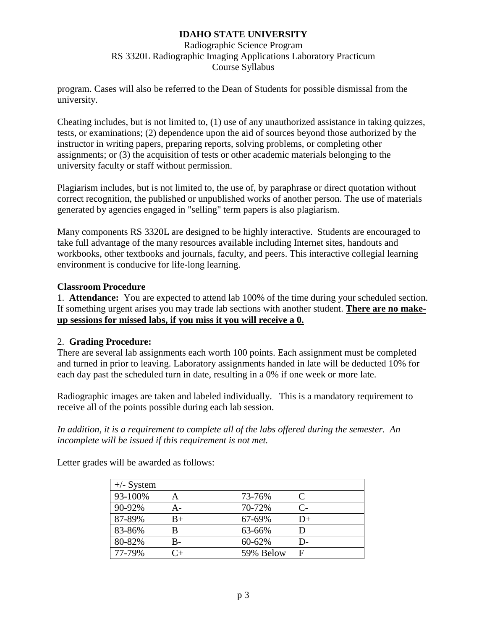Radiographic Science Program RS 3320L Radiographic Imaging Applications Laboratory Practicum Course Syllabus

program. Cases will also be referred to the Dean of Students for possible dismissal from the university.

Cheating includes, but is not limited to, (1) use of any unauthorized assistance in taking quizzes, tests, or examinations; (2) dependence upon the aid of sources beyond those authorized by the instructor in writing papers, preparing reports, solving problems, or completing other assignments; or (3) the acquisition of tests or other academic materials belonging to the university faculty or staff without permission.

Plagiarism includes, but is not limited to, the use of, by paraphrase or direct quotation without correct recognition, the published or unpublished works of another person. The use of materials generated by agencies engaged in "selling" term papers is also plagiarism.

Many components RS 3320L are designed to be highly interactive. Students are encouraged to take full advantage of the many resources available including Internet sites, handouts and workbooks, other textbooks and journals, faculty, and peers. This interactive collegial learning environment is conducive for life-long learning.

### **Classroom Procedure**

1. **Attendance:** You are expected to attend lab 100% of the time during your scheduled section. If something urgent arises you may trade lab sections with another student. **There are no makeup sessions for missed labs, if you miss it you will receive a 0.**

## 2. **Grading Procedure:**

There are several lab assignments each worth 100 points. Each assignment must be completed and turned in prior to leaving. Laboratory assignments handed in late will be deducted 10% for each day past the scheduled turn in date, resulting in a 0% if one week or more late.

Radiographic images are taken and labeled individually. This is a mandatory requirement to receive all of the points possible during each lab session.

*In addition, it is a requirement to complete all of the labs offered during the semester. An incomplete will be issued if this requirement is not met.*

| $+\angle$ - System |      |           |           |
|--------------------|------|-----------|-----------|
| 93-100%            |      | 73-76%    | $\subset$ |
| 90-92%             | А-   | 70-72%    | $C-$      |
| 87-89%             | $B+$ | 67-69%    | D+        |
| 83-86%             | B    | 63-66%    |           |
| 80-82%             | B-   | 60-62%    | D-        |
| 77-79%             | ∼∓   | 59% Below | F         |

Letter grades will be awarded as follows: